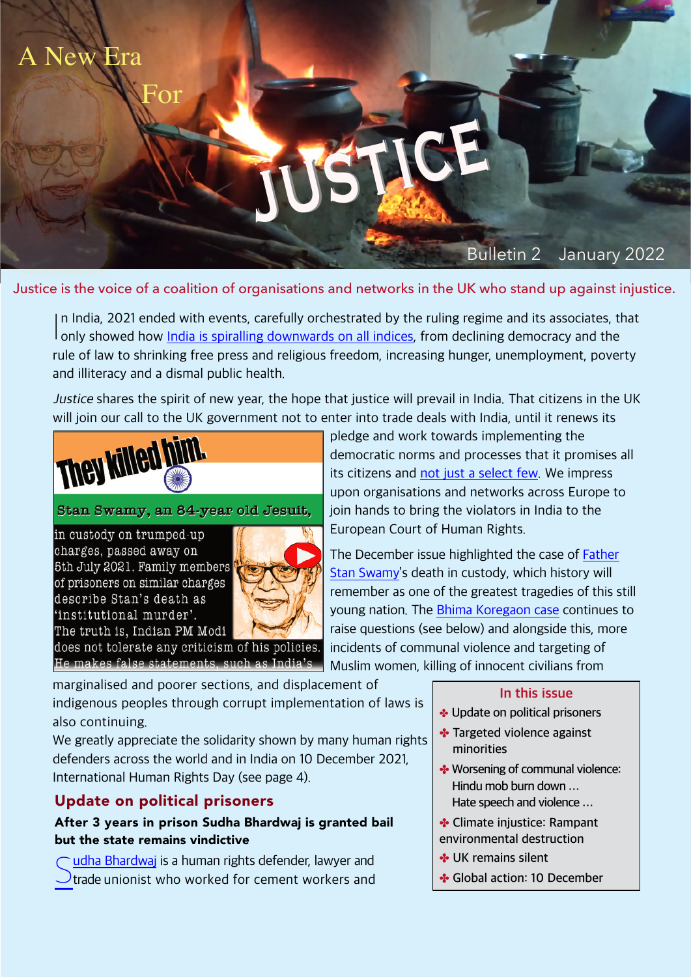# Bulletin 2 January 2022

Justice is the voice of a coalition of organisations and networks in the UK who stand up against injustice.

justice

In India, 2021 ended with events, carefully orchestrated by the ruling regime and its associates, t<br>only showed how [India is spiralling downwards on all indices](https://thewire.in/government/full-text-modi-has-no-vision-for-indian-society-other-than-to-reject-inclusion-aakar-patel), from declining democracy and the n India, 2021 ended with events, carefully orchestrated by the ruling regime and its associates, that rule of law to shrinking free press and religious freedom, increasing hunger, unemployment, poverty and illiteracy and a dismal public health.

Justice shares the spirit of new year, the hope that justice will prevail in India. That citizens in the UK will join our call to the UK government not to enter into trade deals with India, until it renews its



### Stan Swamy, an 84-year old Jesuit,

in custody on trumped-up charges, passed away on 5th July 2021. Family members of prisoners on similar charges describe Stan's death as 'institutional murder'. The truth is, Indian PM Modi

New Era

For



does not tolerate any criticism of his policies. He makes false statements, such as India's

pledge and work towards implementing the democratic norms and processes that it promises all its citizens and [not just a select few.](https://article-14.com/post/unequal-before-the-law-bail-is-the-rule-for-hindu-hate-speech-jail-the-norm-for-rights-campaigners-619513178c2e5) We impress upon organisations and networks across Europe to join hands to bring the violators in India to the European Court of Human Rights.

The December issue highlighted the case of [Father](https://www.theguardian.com/world/2021/jul/05/indias-oldest-political-prisoner-stan-swamy-dies-aged-84) [Stan Swamy](https://www.theguardian.com/world/2021/jul/05/indias-oldest-political-prisoner-stan-swamy-dies-aged-84)'s death in custody, which history will remember as one of the greatest tragedies of this still young nation. The [Bhima Koregaon case](https://www.youtube.com/watch?v=h7ejW2VwOZs) continues to raise questions (see below) and alongside this, more incidents of communal violence and targeting of Muslim women, killing of innocent civilians from

marginalised and poorer sections, and displacement of indigenous peoples through corrupt implementation of laws is also continuing.

We greatly appreciate the solidarity shown by many human rights defenders across the world and in India on 10 December 2021, International Human Rights Day (see page 4).

# **Update on political prisoners**

# **After 3 years in prison Sudha Bhardwaj is granted bail but the state remains vindictive**

C[udha Bhardwaj](https://www.thepolisproject.com/read/we-need-groups-organized-to-fight-theyre-the-ones-who-can-make-a-dent-a-profile-of-sudha-bharadwaj/) is a human rights defender, lawyer and<br>Natade unionist who worked for cement workers and  $\mathcal{O}_{t}$  trade unionist who worked for cement workers and

#### **In this issue**

- ✤ **Update on political prisoners**
- ✤ **Targeted violence against minorities**
- ✤ **Worsening of communal violence: Hindu mob burn down … Hate speech and violence …**
- ✤ **Climate injustice: Rampant environmental destruction**
- ✤ **UK remains silent**
- ✤ **Global action: 10 December**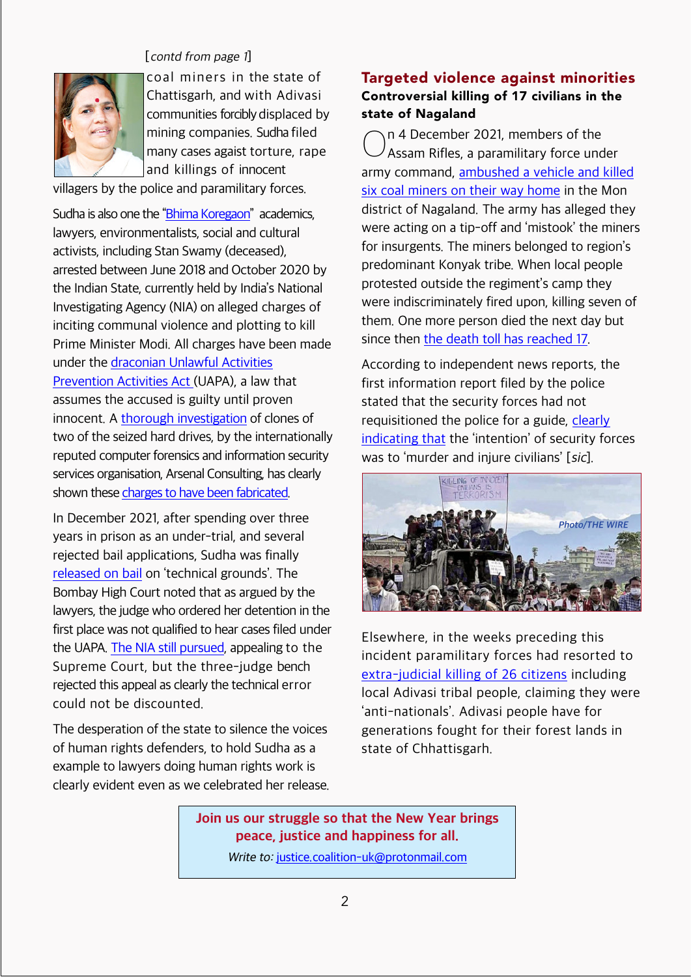

[contd from page <sup>1</sup>]

coal miners in the state of Chattisgarh, and with Adivasi communities forcibly displaced by mining companies. Sudha filed many cases agaist torture, rape and killings of innocent

villagers by the police and paramilitary forces.

Sudha is also one the ["Bhima Koregaon](https://www.thepolisproject.com/watch/the-strange-case-against-the-bhima-koregaon-political-prisoners/)" academics, lawyers, environmentalists, social and cultural activists, including Stan Swamy (deceased), arrested between June 2018 and October 2020 by the Indian State, currently held by India's National Investigating Agency (NIA) on alleged charges of inciting communal violence and plotting to kill Prime Minister Modi. All charges have been made under the [draconian Unlawful Activities](https://india-crisis.world/gallery/a%20to%20z%20uapa.pdf) [Prevention Activities Act](https://india-crisis.world/gallery/a%20to%20z%20uapa.pdf) (UAPA), a law that assumes the accused is guilty until proven innocent. A thorough [investigation](https://context-cdn.washingtonpost.com/notes/prod/default/documents/e2ccf42f-91de-40d2-856b-fd5b249ed1e7/note/fdb246b4-cef6-47ef-97bc-84d0dfbe85c6.) of clones of two of the seized hard drives, by the internationally reputed computer forensics and information security services organisation, Arsenal Consulting, has clearly shown these [charges to have been fabricated](https://thefederal.com/news/key-evidence-in-bhima-koregaon-case-planted-by-hackers-forensic-report/).

In December 2021, after spending over three years in prison as an under-trial, and several rejected bail applications, Sudha was finally [released on bail](https://scroll.in/article/1011878/bhima-koregaon-case-how-lawyer-sudha-bharadwaj-got-bail-after-three-years-in-jail) on 'technical grounds'. The Bombay High Court noted that as argued by the lawyers, the judge who ordered her detention in the first place was not qualified to hear cases filed under the UAPA. [The NIA still pursued](https://www.thehindu.com/opinion/editorial/pique-and-petulance-on-sudha-bharadwajs-bail-and-nias-appeal/article37831751.ece), appealing to the Supreme Court, but the three-judge bench rejected this appeal as clearly the technical error could not be discounted.

The desperation of the state to silence the voices of human rights defenders, to hold Sudha as a example to lawyers doing human rights work is clearly evident even as we celebrated her release.

# **Targeted violence against minorities Controversial killing of 17 civilians in the state of Nagaland**

 $\bigcirc$ n 4 December 2021, members of the <sup>/</sup> Assam Rifles, a paramilitary force under army command, <u>[ambushed a vehicle and killed](https://thewire.in/rights/nagaland-firing-victims-families-demand-justice-refuse-govt-compensation)</u> [six coal miners on their way home](https://thewire.in/rights/nagaland-firing-victims-families-demand-justice-refuse-govt-compensation) in the Mon district of Nagaland. The army has alleged they were acting on a tip-off and 'mistook' the miners for insurgents. The miners belonged to region's predominant Konyak tribe. When local people protested outside the regiment's camp they were indiscriminately fired upon, killing seven of them. One more person died the next day but since then [the death toll has reached 17](https://thewire.in/rights/afspa-killed-the-naga-coal-miners-in-mon).

According to independent news reports, the first information report filed by the police stated that the security forces had not requisitioned the police for a guide, [clearly](https://indianexpress.com/article/north-east-india/nagaland/nagaland-civilians-killed-fir-against-army-unit-7658741/) [indicating that](https://indianexpress.com/article/north-east-india/nagaland/nagaland-civilians-killed-fir-against-army-unit-7658741/) the 'intention' of security forces was to 'murder and injure civilians' [sic].



Elsewhere, in the weeks preceding this incident paramilitary forces had resorted to [extra-judicial killing of 26 citizens](https://theasianindependent.co.uk/condemn-the-extrajudicial-killing-of-26-naxals-by-the-indian-state/) including local Adivasi tribal people, claiming they were 'anti-nationals'. Adivasi people have for generations fought for their forest lands in state of Chhattisgarh.

# **Join us our struggle so that the New Year brings peace, justice and happiness for all.**

Write to: [justice.coalition-uk@protonmail.com](mailto:justice.coalition-uk@protonmail.com)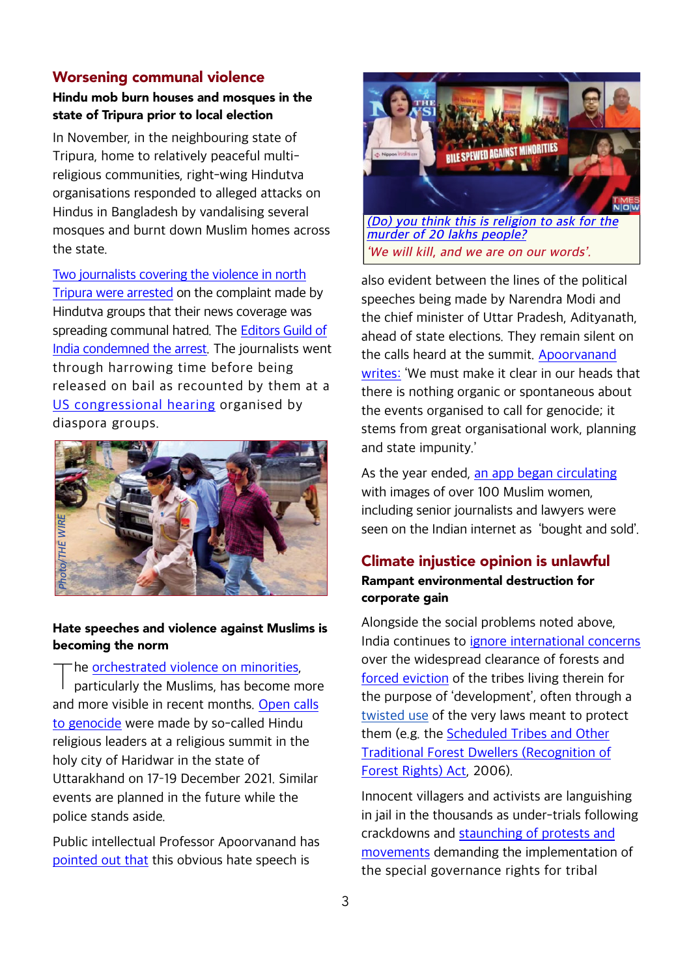### **Worsening communal violence**

## **Hindu mob burn houses and mosques in the state of Tripura prior to local election**

In November, in the neighbouring state of Tripura, home to relatively peaceful multireligious communities, right-wing Hindutva organisations responded to alleged attacks on Hindus in Bangladesh by vandalising several mosques and burnt down Muslim homes across the state.

[Two journalists covering the violence in north](https://www.nytimes.com/2021/11/15/world/asia/india-journalists-arrested-crackdown-tripura.html) [Tripura were arrested](https://www.nytimes.com/2021/11/15/world/asia/india-journalists-arrested-crackdown-tripura.html) on the complaint made by Hindutva groups that their news coverage was spreading communal hatred. The [Editors Guild of](https://theprint.in/india/editors-guild-of-india-shocked-at-tripura-police-fir-against-journalists-seeks-fair-probe/762572/) [India condemned the arrest](https://theprint.in/india/editors-guild-of-india-shocked-at-tripura-police-fir-against-journalists-seeks-fair-probe/762572/). The journalists went through harrowing time before being released on bail as recounted by them at a [US congressional hearing](https://www.youtube.com/watch?v=dHHJshbhHKo) organised by diaspora groups.



#### **Hate speeches and violence against Muslims is becoming the norm**

#### The [orchestrated violence on minorities](https://www.youtube.com/watch?v=OUfCdk7rylY).

T particularly the Muslims, has become more and more visible in recent months. [Open calls](https://www.youtube.com/watch?v=j7WyHUoGSOE) [to genocide](https://www.youtube.com/watch?v=j7WyHUoGSOE) were made by so-called Hindu religious leaders at a religious summit in the holy city of Haridwar in the state of Uttarakhand on 17-19 December 2021. Similar events are planned in the future while the police stands aside.

Public intellectual Professor Apoorvanand has [pointed out that](https://thewire.in/communalism/narendra-modi-dharam-sansad-anti-muslim-leaders) this obvious hate speech is



also evident between the lines of the political speeches being made by Narendra Modi and the chief minister of Uttar Pradesh, Adityanath, ahead of state elections. They remain silent on the calls heard at the summit. [Apoorvanand](https://thewire.in/communalism/narendra-modi-dharam-sansad-anti-muslim-leaders) [writes:](https://thewire.in/communalism/narendra-modi-dharam-sansad-anti-muslim-leaders) 'We must make it clear in our heads that there is nothing organic or spontaneous about the events organised to call for genocide; it stems from great organisational work, planning and state impunity.'

As the year ended, [an app began circulating](https://www.bbc.com/news/world-asia-india-59856619) with images of over 100 Muslim women, including senior journalists and lawyers were seen on the Indian internet as 'bought and sold'.

## **Climate injustice opinion is unlawful Rampant environmental destruction for corporate gain**

Alongside the social problems noted above, India continues to [ignore international concerns](https://www.ohchr.org/EN/NewsEvents/Pages/DisplayNews.aspx?NewsID=24786) over the widespread clearance of forests and [forced eviction](https://www.greaterkashmir.com/todays-paper/violation-of-forest-rights-act-viiensure-encroachers-dont-take-refuge-under-fra) of the tribes living therein for the purpose of 'development', often through a twisted use of the very laws meant to protect them (e.g. the [Scheduled Tribes and Other](https://www.thehindu.com/sci-tech/energy-and-environment/what-is-forest-rights-act/article26419298.ece) [Traditional Forest Dwellers \(Recognition of](https://www.thehindu.com/sci-tech/energy-and-environment/what-is-forest-rights-act/article26419298.ece) [Forest Rights\) Act,](https://www.thehindu.com/sci-tech/energy-and-environment/what-is-forest-rights-act/article26419298.ece) 2006).

Innocent villagers and activists are languishing in jail in the thousands as under-trials following crackdowns and [staunching of protests and](https://indianexpress.com/article/explained/explained-what-is-pathalgadi-movement-and-what-is-the-jmm-govts-stand-on-this-7114979/) [movements](https://indianexpress.com/article/explained/explained-what-is-pathalgadi-movement-and-what-is-the-jmm-govts-stand-on-this-7114979/) demanding the implementation of the special governance rights for tribal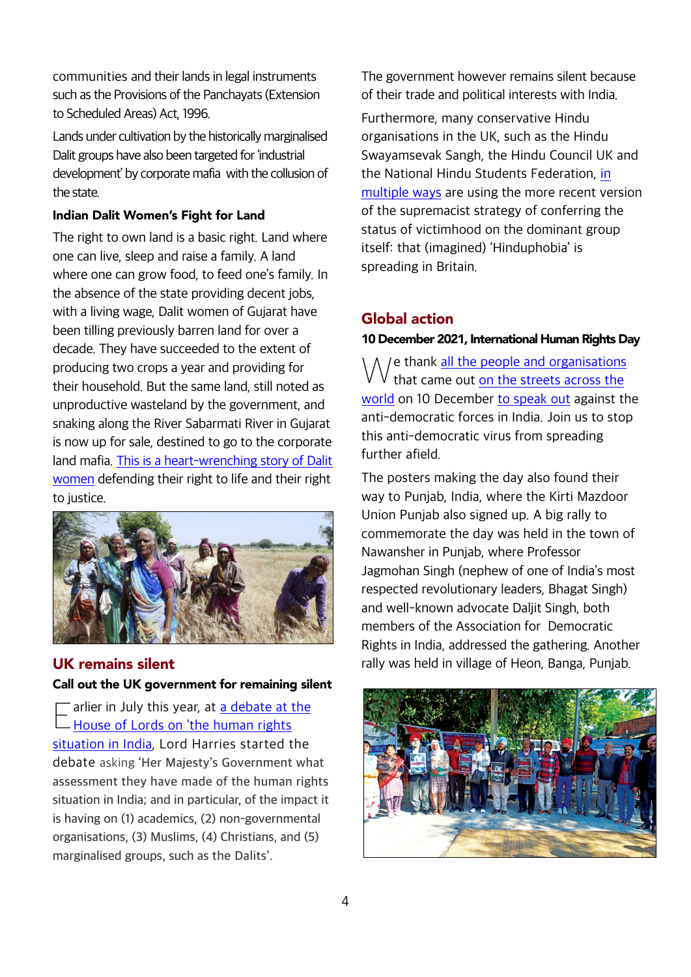communities and their lands in legal instruments such as the Provisions of the Panchayats (Extension to Scheduled Areas) Act, 1996.

Lands under cultivation by the historically marginalised Dalit groups have also been targeted for 'industrial development' by corporate mafia with the collusion of the state.

### **Indian Dalit Women's Fight for Land**

The right to own land is a basic right. Land where one can live, sleep and raise a family. A land where one can grow food, to feed one's family. In the absence of the state providing decent jobs, with a living wage, Dalit women of Gujarat have been tilling previously barren land for over a decade. They have succeeded to the extent of producing two crops a year and providing for their household. But the same land, still noted as unproductive wasteland by the government, and snaking along the River Sabarmati River in Gujarat is now up for sale, destined to go to the corporate land mafia. [This is a heart-wrenching story of Dalit](https://scroll.in/article/1011700/a-dalit-womens-collective-is-fighting-for-the-land-it-toils-on-in-gujarat) [women](https://scroll.in/article/1011700/a-dalit-womens-collective-is-fighting-for-the-land-it-toils-on-in-gujarat) defending their right to life and their right to justice.



# **UK remains silent**

#### **Call out the UK government for remaining silent**

E arlier in July this year, at <u>a debate at</u><br><u>[House of Lords on 'the human rights](https://hansard.parliament.uk/lords/2021-07-22/debates/0047AD4F-56A7-4199-93BE-1CDE99EA4B5A/HumanRightsSituationInIndia)</u> <sup>-</sup> arlier in July this year, at [a debate at the](https://hansard.parliament.uk/lords/2021-07-22/debates/0047AD4F-56A7-4199-93BE-1CDE99EA4B5A/HumanRightsSituationInIndia) [situation in India](https://hansard.parliament.uk/lords/2021-07-22/debates/0047AD4F-56A7-4199-93BE-1CDE99EA4B5A/HumanRightsSituationInIndia), Lord Harries started the debate asking **'Her Majesty's Government what assessment they have made of the human rights situation in India; and in particular, of the impact it is having on (1) academics, (2) non-governmental organisations, (3) Muslims, (4) Christians, and (5) marginalised groups, such as the Dalits'.**

The government however remains silent because of their trade and political interests with India.

Furthermore, many conservative Hindu organisations in the UK, such as the Hindu Swayamsevak Sangh, the Hindu Council UK and the National Hindu Students Federation, [in](https://bylinetimes.com/2021/12/09/the-new-strategies-of-hindu-supremacists-in-britain/) [multiple ways](https://bylinetimes.com/2021/12/09/the-new-strategies-of-hindu-supremacists-in-britain/) are using the more recent version of the supremacist strategy of conferring the status of victimhood on the dominant group itself: that (imagined) 'Hinduphobia' is spreading in Britain.

# **Global action**

### **10 December 2021, International Human Rights Day**

 $\bigvee$  e thank  $\frac{all \text{ the people and organisation:}}{that \text{ came out on the streets across the}}$  $\frac{all \text{ the people and organisation:}}{that \text{ came out on the streets across the}}$  $\frac{all \text{ the people and organisation:}}{that \text{ came out on the streets across the}}$ I e thank [all the people and organisations](https://www.deccanherald.com/national/indian-diaspora-groups-campaign-against-human-rights-abuses-in-india-1059572.html) [world](https://thewire.in/rights/speaking-up-is-not-anti-national-global-groups-condemn-attacks-on-indias-rights-defenders) on 10 December [to speak out](https://twitter.com/right2dissent20/status/1469225886058631170) against the anti-democratic forces in India. Join us to stop this anti-democratic virus from spreading further afield.

The posters making the day also found their way to Punjab, India, where the Kirti Mazdoor Union Punjab also signed up. A big rally to commemorate the day was held in the town of Nawansher in Punjab, where Professor Jagmohan Singh (nephew of one of India's most respected revolutionary leaders, Bhagat Singh) and well-known advocate Daljit Singh, both members of the Association for Democratic Rights in India, addressed the gathering. Another rally was held in village of Heon, Banga, Punjab.